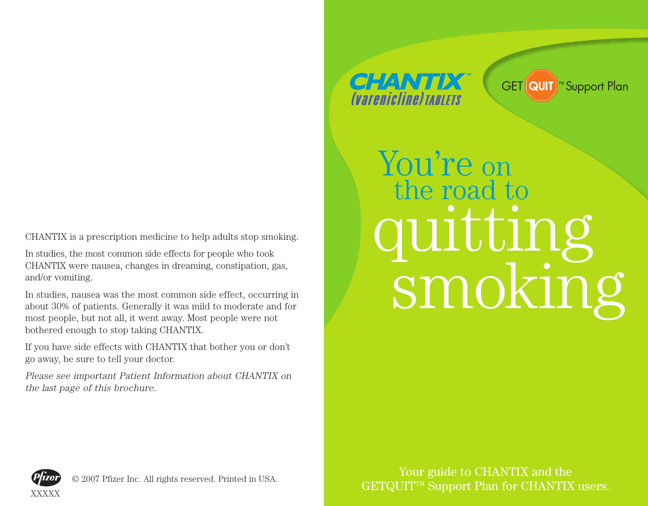CHANTIX is a prescription medicine to help adults stop smoking.

In studies, the most common side effects for people who took CHANTIX were nausea, changes in dreaming, constipation, gas, and/or vomiting.

In studies, nausea was the most common side effect, occurring in about 30% of patients. Generally it was mild to moderate and for most people, but not all, it went away. Most people were not bothered enough to stop taking CHANTIX.

If you have side effects with CHANTIX that bother you or don't go away, be sure to tell your doctor.

Please see important Patient Information about CHANTIX on the last page of this brochure.

## **CHANTIX** *<u>Contracting TABLETS</u>*

GET QUIT<sup>™</sup> Support Plan

You're on the road to quitting smoking



© 2007 Pfizer Inc. All rights reserved. Printed in USA.

Your guide to CHANTIX and the GETQUIT<sup>TM</sup> Support Plan for CHANTIX users.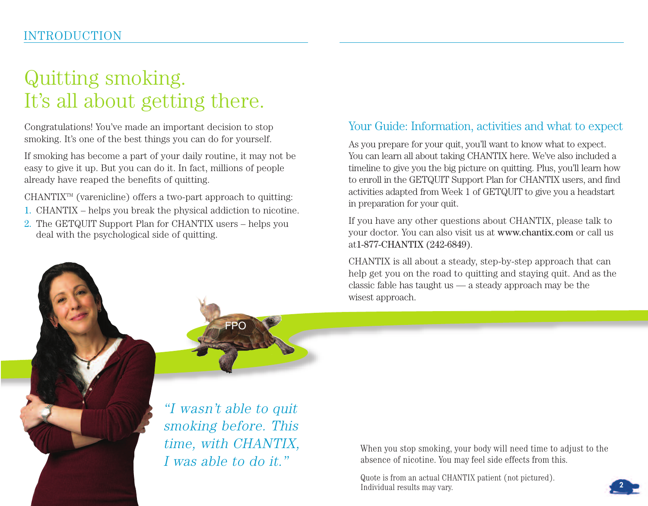# Quitting smoking. It's all about getting there.

Congratulations! You've made an important decision to stop smoking. It's one of the best things you can do for yourself.

If smoking has become a part of your daily routine, it may not be easy to give it up. But you can do it. In fact, millions of people already have reaped the benefits of quitting.

 $CHANTIX^{\mathbb{M}}$  (varenicline) offers a two-part approach to quitting:

- 1. CHANTIX helps you break the physical addiction to nicotine.
- 2. The GETQUIT Support Plan for CHANTIX users helps you deal with the psychological side of quitting.

## Your Guide: Information, activities and what to expect

As you prepare for your quit, you'll want to know what to expect. You can learn all about taking CHANTIX here. We've also included a timeline to give you the big picture on quitting. Plus, you'll learn how to enroll in the GETQUIT Support Plan for CHANTIX users, and find activities adapted from Week 1 of GETQUIT to give you a headstart in preparation for your quit.

If you have any other questions about CHANTIX, please talk to your doctor. You can also visit us at www.chantix.com or call us at1-877-CHANTIX (242-6849).

CHANTIX is all about a steady, step-by-step approach that can help get you on the road to quitting and staying quit. And as the classic fable has taught us — a steady approach may be the wisest approach.



"I wasn't able to quit smoking before. This time, with CHANTIX, I was able to do it."

When you stop smoking, your body will need time to adjust to the absence of nicotine. You may feel side effects from this.

Quote is from an actual CHANTIX patient (not pictured). Individual results may vary.

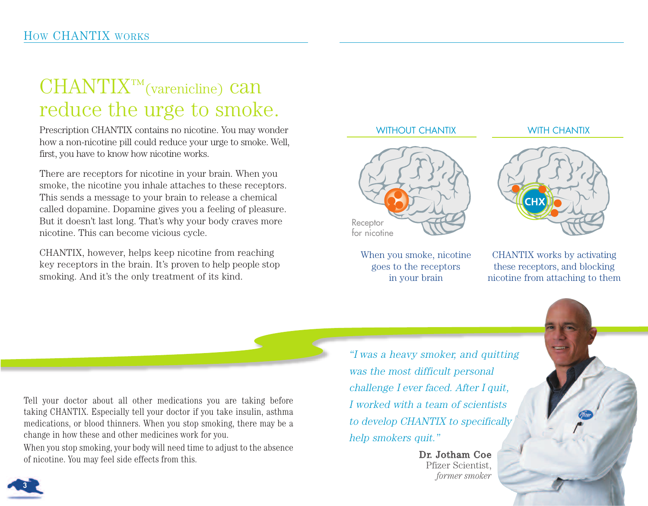# $CHANTIX<sup>TM</sup>(varenicline)$  Can reduce the urge to smoke.

Prescription CHANTIX contains no nicotine. You may wonder how a non-nicotine pill could reduce your urge to smoke. Well, first, you have to know how nicotine works.

There are receptors for nicotine in your brain. When you smoke, the nicotine you inhale attaches to these receptors. This sends a message to your brain to release a chemical called dopamine. Dopamine gives you a feeling of pleasure. But it doesn't last long. That's why your body craves more nicotine. This can become vicious cycle.

CHANTIX, however, helps keep nicotine from reaching key receptors in the brain. It's proven to help people stop smoking. And it's the only treatment of its kind.

#### WITHOUT CHANTIX WITH CHANTIX



When you smoke, nicotine goes to the receptors in your brain



CHANTIX works by activating these receptors, and blocking nicotine from attaching to them

Tell your doctor about all other medications you are taking before taking CHANTIX. Especially tell your doctor if you take insulin, asthma medications, or blood thinners. When you stop smoking, there may be a change in how these and other medicines work for you.

When you stop smoking, your body will need time to adjust to the absence of nicotine. You may feel side effects from this.

"I was a heavy smoker, and quitting was the most difficult personal challenge I ever faced. After I quit, I worked with a team of scientists to develop CHANTIX to specifically help smokers quit."

> Dr. Jotham Coe Pfizer Scientist, *former smoker*

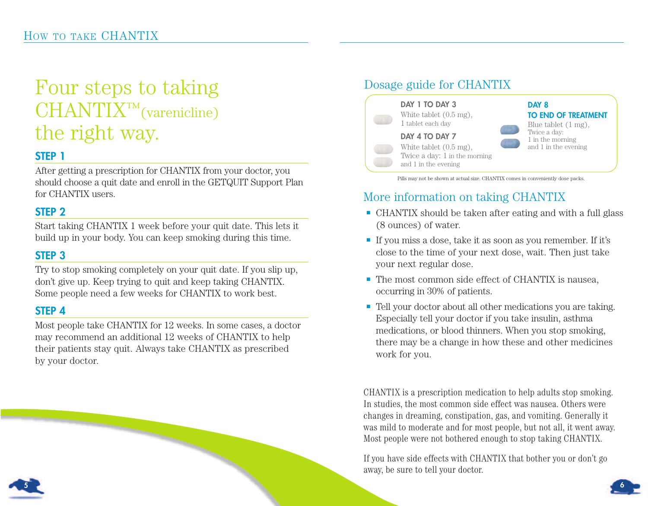# Four steps to taking  $CHANTIX<sup>TM</sup>(varenicline)$ the right way.

## **STEP 1**

After getting a prescription for CHANTIX from your doctor, you should choose a quit date and enroll in the GETQUIT Support Plan for CHANTIX users.

## **STEP 2**

Start taking CHANTIX 1 week before your quit date. This lets it build up in your body. You can keep smoking during this time.

## **STEP 3**

Try to stop smoking completely on your quit date. If you slip up, don't give up. Keep trying to quit and keep taking CHANTIX. Some people need a few weeks for CHANTIX to work best.

## **STEP 4**

Most people take CHANTIX for 12 weeks. In some cases, a doctor may recommend an additional 12 weeks of CHANTIX to help their patients stay quit. Always take CHANTIX as prescribed by your doctor.

#### Dosage guide for CHANTIX **DAY 1 TO DAY 3** White tablet  $(0.5 \text{ mg})$ . 1 tablet each day **DAY 4 TO DAY 7** White tablet (0.5 mg), Twice a day: 1 in the morning and 1 in the evening **DAY 8 TO END OF TREATMENT** Blue tablet (1 mg), Twice a day: 1 in the morning and 1 in the evening

Pills may not be shown at actual size. CHANTIX comes in conveniently dose packs.

## More information on taking CHANTIX

- $\blacksquare$  CHANTIX should be taken after eating and with a full glass (8 ounces) of water.
- e If you miss a dose, take it as soon as you remember. If it's close to the time of your next dose, wait. Then just take your next regular dose.
- $\blacksquare$  The most common side effect of CHANTIX is nausea, occurring in 30% of patients.
- Tell your doctor about all other medications you are taking. Especially tell your doctor if you take insulin, asthma medications, or blood thinners. When you stop smoking, there may be a change in how these and other medicines work for you.

CHANTIX is a prescription medication to help adults stop smoking. In studies, the most common side effect was nausea. Others were changes in dreaming, constipation, gas, and vomiting. Generally it was mild to moderate and for most people, but not all, it went away. Most people were not bothered enough to stop taking CHANTIX.

If you have side effects with CHANTIX that bother you or don't go away, be sure to tell your doctor.



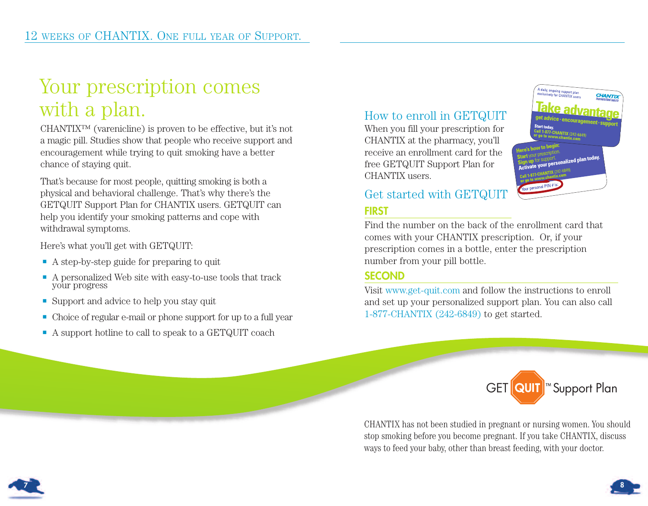# Your prescription comes with a plan.

CHANTIX™ (varenicline) is proven to be effective, but it's not a magic pill. Studies show that people who receive support and encouragement while trying to quit smoking have a better chance of staying quit.

That's because for most people, quitting smoking is both a physical and behavioral challenge. That's why there's the GETQUIT Support Plan for CHANTIX users. GETQUIT can help you identify your smoking patterns and cope with withdrawal symptoms.

Here's what you'll get with GETQUIT:

- A step-by-step guide for preparing to quit
- $\blacksquare$  A personalized Web site with easy-to-use tools that track your progress
- **E** Support and advice to help you stay quit
- e Choice of regular e-mail or phone support for up to a full year
- e A support hotline to call to speak to a GETQUIT coach

## How to enroll in GETQUIT

When you fill your prescription for CHANTIX at the pharmacy, you'll receive an enrollment card for the free GETQUIT Support Plan for CHANTIX users.

## Get started with GETQUIT **FIRST**

Find the number on the back of the enrollment card that comes with your CHANTIX prescription. Or, if your prescription comes in a bottle, enter the prescription number from your pill bottle.

## **SECOND**

Visit www.get-quit.com and follow the instructions to enroll and set up your personalized support plan. You can also call 1-877-CHANTIX (242-6849) to get started.



A daily, ongoing support plan<br>exclusively for CHANTIX user.

CHANTIX has not been studied in pregnant or nursing women. You should stop smoking before you become pregnant. If you take CHANTIX, discuss ways to feed your baby, other than breast feeding, with your doctor.



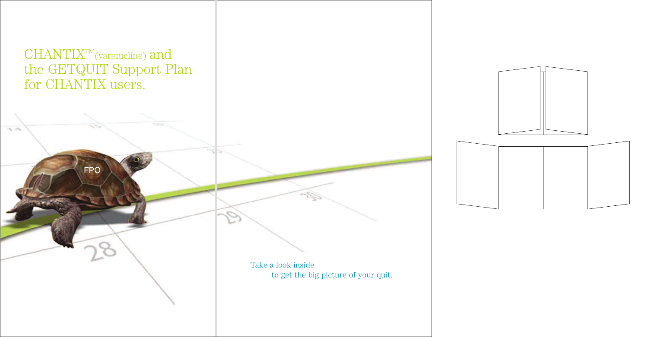

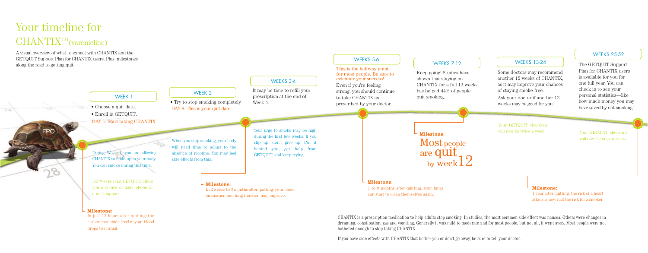This is the halfway point

# Your timeline for  $CHANTIX<sup>TM</sup>(varenicline)$

## WEEKS 5-6 WEEKS 7-12 WEEKS 13-24

#### Your GETQUIT check-ins will now be once a week.



CHANTIX is a prescription medication to help adults stop smoking. In studies, the most common side effect was nausea. Others were changes in dreaming, constipation, gas and vomiting. Generally it was mild to moderate and for most people, but not all, it went away. Most people were not

Your GETQUIT check-ins will now be twice a week.

can start to clean themselves again. 1 year after quitting: the risk of a heart attack is now half the risk for a smoker.

If you have side effects with CHANTIX that bother you or don't go away, be sure to tell your doctor.

Most people

 $_{\rm{by\,week}}^{\rm{e\,que}}$ 

are quit

Some doctors may recommend another 12 weeks of CHANTIX, as it may improve your chances of staying smoke-free. Ask your doctor if another 12 weeks may be good for you.

Keep going! Studies have shown that staying on CHANTIX for a full 12 weeks has helped 44% of people quit smoking.

## WEEKS 25-52

The GETQUIT Support Plan for CHANTIX users is available for you for one full year. You can check in to see your personal statistics—like how much money you may have saved by not smoking!

1 to 9 months after quitting, your lungs

### Milestone:

A visual overview of what to expect with CHANTIX and the GETQUIT Support Plan for CHANTIX users. Plus, milestones along the road to getting quit.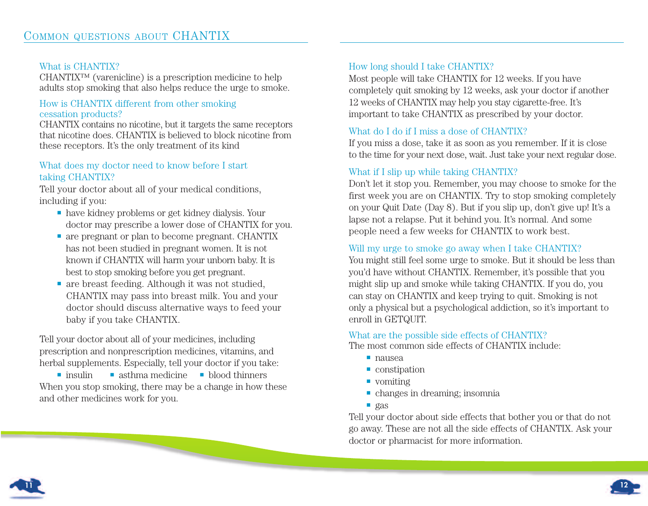#### What is CHANTIX?

CHANTIX™ (varenicline) is a prescription medicine to help adults stop smoking that also helps reduce the urge to smoke.

#### How is CHANTIX different from other smoking cessation products?

CHANTIX contains no nicotine, but it targets the same receptors that nicotine does. CHANTIX is believed to block nicotine from these receptors. It's the only treatment of its kind

#### What does my doctor need to know before I start taking CHANTIX?

Tell your doctor about all of your medical conditions, including if you:

- e have kidney problems or get kidney dialysis. Your doctor may prescribe a lower dose of CHANTIX for you.
- $\blacksquare$  are pregnant or plan to become pregnant. CHANTIX has not been studied in pregnant women. It is not known if CHANTIX will harm your unborn baby. It is best to stop smoking before you get pregnant.
- $\blacksquare$  are breast feeding. Although it was not studied, CHANTIX may pass into breast milk. You and your doctor should discuss alternative ways to feed your baby if you take CHANTIX.

Tell your doctor about all of your medicines, including prescription and nonprescription medicines, vitamins, and herbal supplements. Especially, tell your doctor if you take:

 $\blacksquare$  insulin  $\blacksquare$  asthma medicine  $\blacksquare$  blood thinners When you stop smoking, there may be a change in how these and other medicines work for you.

#### How long should I take CHANTIX?

Most people will take CHANTIX for 12 weeks. If you have completely quit smoking by 12 weeks, ask your doctor if another 12 weeks of CHANTIX may help you stay cigarette-free. It's important to take CHANTIX as prescribed by your doctor.

#### What do I do if I miss a dose of CHANTIX?

If you miss a dose, take it as soon as you remember. If it is close to the time for your next dose, wait. Just take your next regular dose.

#### What if I slip up while taking CHANTIX?

Don't let it stop you. Remember, you may choose to smoke for the first week you are on CHANTIX. Try to stop smoking completely on your Quit Date (Day 8). But if you slip up, don't give up! It's a lapse not a relapse. Put it behind you. It's normal. And some people need a few weeks for CHANTIX to work best.

#### Will my urge to smoke go away when I take CHANTIX?

You might still feel some urge to smoke. But it should be less than you'd have without CHANTIX. Remember, it's possible that you might slip up and smoke while taking CHANTIX. If you do, you can stay on CHANTIX and keep trying to quit. Smoking is not only a physical but a psychological addiction, so it's important to enroll in GETQUIT.

#### What are the possible side effects of CHANTIX?

The most common side effects of CHANTIX include:

- e nausea
- $\blacksquare$  constipation
- e vomiting
- $\blacksquare$  changes in dreaming; insomnia
- $\Box$  gas

Tell your doctor about side effects that bother you or that do not go away. These are not all the side effects of CHANTIX. Ask your doctor or pharmacist for more information.



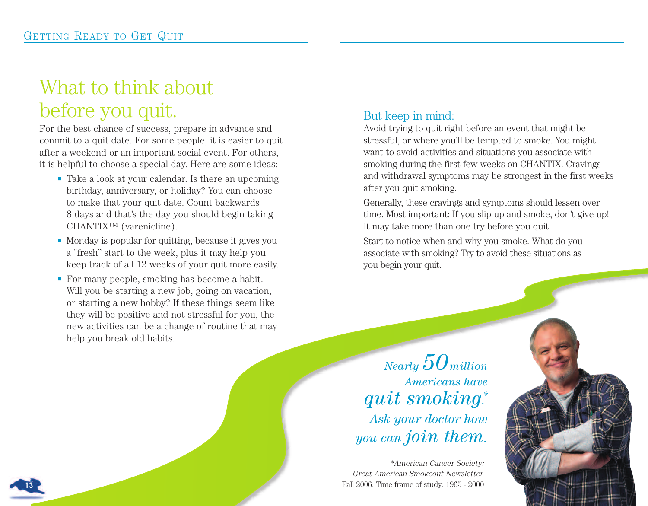# What to think about before you quit.

For the best chance of success, prepare in advance and commit to a quit date. For some people, it is easier to quit after a weekend or an important social event. For others, it is helpful to choose a special day. Here are some ideas:

- $\blacksquare$  Take a look at your calendar. Is there an upcoming birthday, anniversary, or holiday? You can choose to make that your quit date. Count backwards 8 days and that's the day you should begin taking CHANTIX™ (varenicline).
- Monday is popular for quitting, because it gives you a "fresh" start to the week, plus it may help you keep track of all 12 weeks of your quit more easily.
- For many people, smoking has become a habit. Will you be starting a new job, going on vacation, or starting a new hobby? If these things seem like they will be positive and not stressful for you, the new activities can be a change of routine that may help you break old habits.

## But keep in mind:

Avoid trying to quit right before an event that might be stressful, or where you'll be tempted to smoke. You might want to avoid activities and situations you associate with smoking during the first few weeks on CHANTIX. Cravings and withdrawal symptoms may be strongest in the first weeks after you quit smoking.

Generally, these cravings and symptoms should lessen over time. Most important: If you slip up and smoke, don't give up! It may take more than one try before you quit.

Start to notice when and why you smoke. What do you associate with smoking? Try to avoid these situations as you begin your quit.

*Nearly 50million Americans have quit smoking. \* Ask your doctor how you can join them.*

\*American Cancer Society: Great American Smokeout Newsletter. Fall 2006. Time frame of study: 1965 - 2000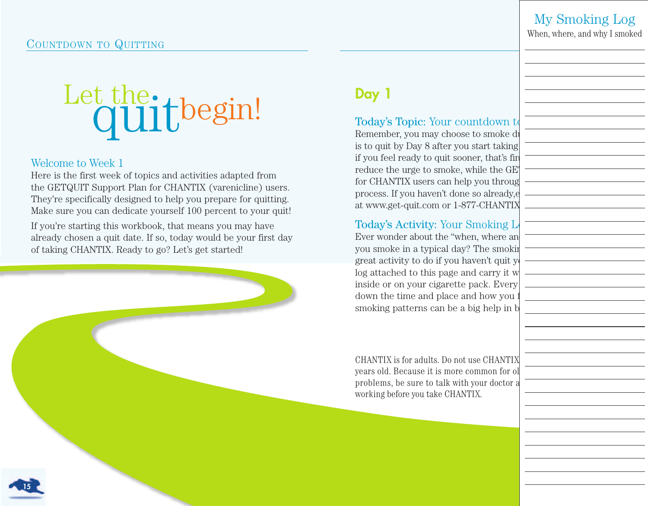## COUNTDOWN TO QUITTING

## My Smoking Log

When, where, and why I smoked

# Let the the sin!

### Welcome to Week 1

Here is the first week of topics and activities adapted from the GETQUIT Support Plan for CHANTIX (varenicline) users. They're specifically designed to help you prepare for quitting. Make sure you can dedicate yourself 100 percent to your quit!

If you're starting this workbook, that means you may have already chosen a quit date. If so, today would be your first day of taking CHANTIX. Ready to go? Let's get started!

## **Day 1**

## Today's Topic: Your countdown to

Remember, you may choose to smoke d is to quit by Day 8 after you start taking. if you feel ready to quit sooner, that's fin reduce the urge to smoke, while the GET for CHANTIX users can help you through process. If you haven't done so already,enrolled at www.get-quit.com or 1-877-CHANTIX

## Today's Activity: Your Smoking L

Ever wonder about the "when, where an you smoke in a typical day? The smoking great activity to do if you haven't quit y log attached to this page and carry it w inside or on your cigarette pack. Every down the time and place and how you smoking patterns can be a big help in b

CHANTIX is for adults. Do not use CHANTIX years old. Because it is more common for ol problems, be sure to talk with your doctor a working before you take CHANTIX.

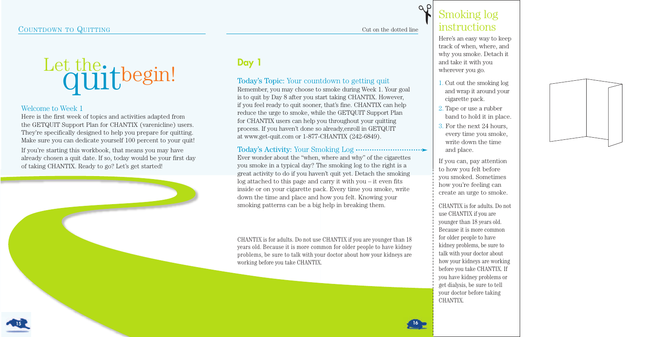

## Welcome to Week 1

Here is the first week of topics and activities adapted from the GETQUIT Support Plan for CHANTIX (varenicline) users. They're specifically designed to help you prepare for quitting. Make sure you can dedicate yourself 100 percent to your quit!

If you're starting this workbook, that means you may have already chosen a quit date. If so, today would be your first day of taking CHANTIX. Ready to go? Let's get started!

## **Day 1**

## Today's Topic: Your countdown to getting quit

Remember, you may choose to smoke during Week 1. Your goal is to quit by Day 8 after you start taking CHANTIX. However, if you feel ready to quit sooner, that's fine. CHANTIX can help reduce the urge to smoke, while the GETQUIT Support Plan for CHANTIX users can help you throughout your quitting process. If you haven't done so already,enroll in GETQUIT at www.get-quit.com or 1-877-CHANTIX (242-6849).

## Today's Activity: Your Smoking Log

Ever wonder about the "when, where and why" of the cigarettes you smoke in a typical day? The smoking log to the right is a great activity to do if you haven't quit yet. Detach the smoking log attached to this page and carry it with you – it even fits inside or on your cigarette pack. Every time you smoke, write down the time and place and how you felt. Knowing your smoking patterns can be a big help in breaking them.

CHANTIX is for adults. Do not use CHANTIX if you are younger than 18 years old. Because it is more common for older people to have kidney problems, be sure to talk with your doctor about how your kidneys are working before you take CHANTIX.

## Smoking log instructions

✃

Cut on the dotted line

Here's an easy way to keep track of when, where, and why you smoke. Detach it and take it with you wherever you go.

- 1. Cut out the smoking log and wrap it around your cigarette pack.
- 2. Tape or use a rubber band to hold it in place.
- 3. For the next 24 hours, every time you smoke, write down the time and place.

If you can, pay attention to how you felt before you smoked. Sometimes how you're feeling can create an urge to smoke.

CHANTIX is for adults. Do not use CHANTIX if you are younger than 18 years old. Because it is more common for older people to have kidney problems, be sure to talk with your doctor about how your kidneys are working before you take CHANTIX. If you have kidney problems or get dialysis, be sure to tell your doctor before taking CHANTIX.



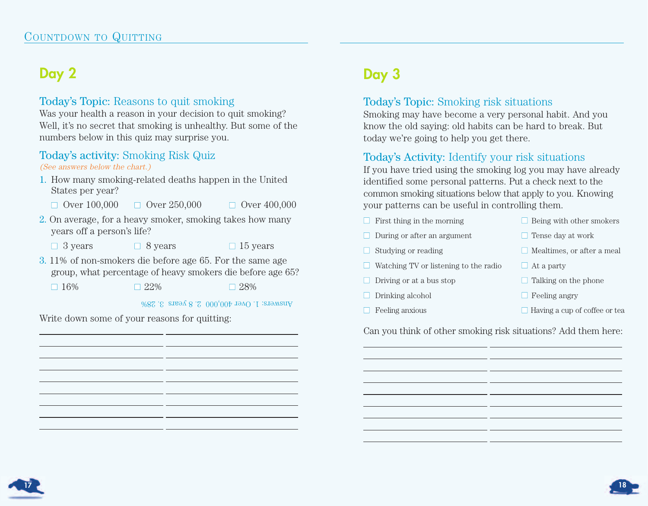## **Day 2**

## Today's Topic: Reasons to quit smoking

Was your health a reason in your decision to quit smoking? Well, it's no secret that smoking is unhealthy. But some of the numbers below in this quiz may surprise you.

## Today's activity: Smoking Risk Quiz

#### (See answers below the chart.)

- 1. How many smoking-related deaths happen in the United States per year?
	- $\Box$  Over 100,000  $\Box$  Over 250,000  $\Box$  Over 400,000
		-
- 2. On average, for a heavy smoker, smoking takes how many years off a person's life?
	- $\Box$  3 years  $\Box$  8 years  $\Box$  15 years
- 3. 11% of non-smokers die before age 65. For the same age group, what percentage of heavy smokers die before age 65?
	- $\Box$  16%  $\Box$  22%  $\Box$  28%

Answers: 1. Over 400,000 2. 8 years 3. 28%

Write down some of your reasons for quitting:

## **Day 3**

## Today's Topic: Smoking risk situations

Smoking may have become a very personal habit. And you know the old saying: old habits can be hard to break. But today we're going to help you get there.

## Today's Activity: Identify your risk situations

If you have tried using the smoking log you may have already identified some personal patterns. Put a check next to the common smoking situations below that apply to you. Knowing your patterns can be useful in controlling them.

 $\Box$  First thing in the morning  $\Box$  Being with other smokers  $\Box$  During or after an argument  $\Box$  Tense day at work ■ Studying or reading ■ Mealtimes, or after a meal  $\Box$  Watching TV or listening to the radio  $\Box$  At a party  $\Box$  Driving or at a bus stop  $\Box$  Talking on the phone ■ Drinking alcohol ■ Feeling angry  $\Box$  Feeling anxious  $\Box$  Having a cup of coffee or tea

Can you think of other smoking risk situations? Add them here:



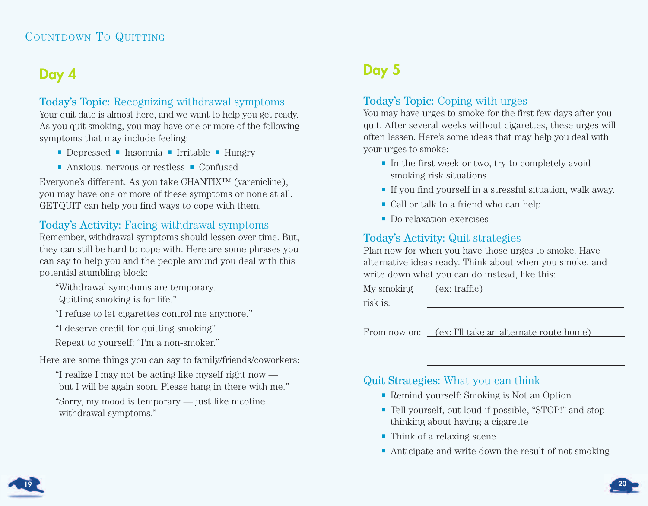## **Day 4**

## Today's Topic: Recognizing withdrawal symptoms

Your quit date is almost here, and we want to help you get ready. As you quit smoking, you may have one or more of the following symptoms that may include feeling:

- e Depressed e Insomnia e Irritable e Hungry
- Anxious, nervous or restless Confused

Everyone's different. As you take CHANTIX™ (varenicline), you may have one or more of these symptoms or none at all. GETQUIT can help you find ways to cope with them.

## Today's Activity: Facing withdrawal symptoms

Remember, withdrawal symptoms should lessen over time. But, they can still be hard to cope with. Here are some phrases you can say to help you and the people around you deal with this potential stumbling block:

"Withdrawal symptoms are temporary.

Quitting smoking is for life."

"I refuse to let cigarettes control me anymore."

"I deserve credit for quitting smoking"

Repeat to yourself: "I'm a non-smoker."

Here are some things you can say to family/friends/coworkers:

"I realize I may not be acting like myself right now but I will be again soon. Please hang in there with me."

"Sorry, my mood is temporary — just like nicotine withdrawal symptoms."

## **Day 5**

## Today's Topic: Coping with urges

You may have urges to smoke for the first few days after you quit. After several weeks without cigarettes, these urges will often lessen. Here's some ideas that may help you deal with your urges to smoke:

- $\blacksquare$  In the first week or two, try to completely avoid smoking risk situations
- e If you find yourself in a stressful situation, walk away.
- e Call or talk to a friend who can help
- **Do relaxation exercises**

## Today's Activity: Quit strategies

Plan now for when you have those urges to smoke. Have alternative ideas ready. Think about when you smoke, and write down what you can do instead, like this:

My smoking (ex: traffic)

risk is:

From now on: (ex: I'll take an alternate route home)

## Quit Strategies: What you can think

- e Remind yourself: Smoking is Not an Option
- e Tell yourself, out loud if possible, "STOP!" and stop thinking about having a cigarette
- e Think of a relaxing scene
- Anticipate and write down the result of not smoking



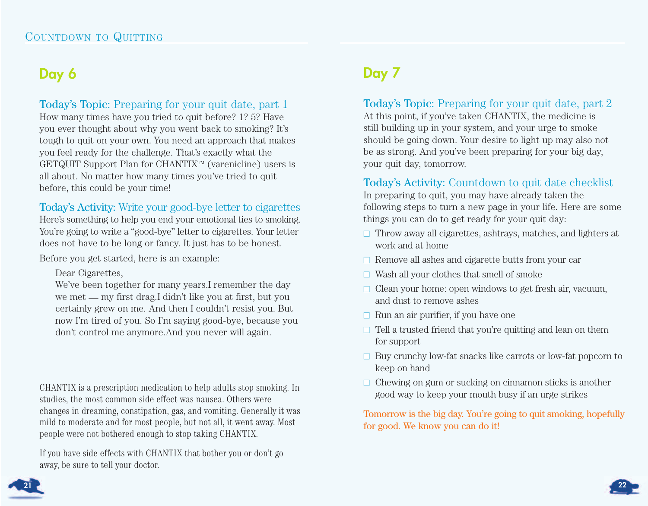## **Day 6**

Today's Topic: Preparing for your quit date, part 1

How many times have you tried to quit before? 1? 5? Have you ever thought about why you went back to smoking? It's tough to quit on your own. You need an approach that makes you feel ready for the challenge. That's exactly what the GETQUIT Support Plan for CHANTIX<sup>™</sup> (varenicline) users is all about. No matter how many times you've tried to quit before, this could be your time!

## Today's Activity: Write your good-bye letter to cigarettes

Here's something to help you end your emotional ties to smoking. You're going to write a "good-bye" letter to cigarettes. Your letter does not have to be long or fancy. It just has to be honest.

Before you get started, here is an example:

Dear Cigarettes,

We've been together for many years.I remember the day we met — my first drag.I didn't like you at first, but you certainly grew on me. And then I couldn't resist you. But now I'm tired of you. So I'm saying good-bye, because you don't control me anymore.And you never will again.

CHANTIX is a prescription medication to help adults stop smoking. In studies, the most common side effect was nausea. Others were changes in dreaming, constipation, gas, and vomiting. Generally it was mild to moderate and for most people, but not all, it went away. Most people were not bothered enough to stop taking CHANTIX.

If you have side effects with CHANTIX that bother you or don't go away, be sure to tell your doctor.

## **Day 7**

## Today's Topic: Preparing for your quit date, part 2

At this point, if you've taken CHANTIX, the medicine is still building up in your system, and your urge to smoke should be going down. Your desire to light up may also not be as strong. And you've been preparing for your big day, your quit day, tomorrow.

## Today's Activity: Countdown to quit date checklist

In preparing to quit, you may have already taken the following steps to turn a new page in your life. Here are some things you can do to get ready for your quit day:

- $\Box$  Throw away all cigarettes, ashtrays, matches, and lighters at work and at home
- $\Box$  Remove all ashes and cigarette butts from your car
- $\Box$  Wash all your clothes that smell of smoke
- $\Box$  Clean your home: open windows to get fresh air, vacuum, and dust to remove ashes
- $\Box$  Run an air purifier, if you have one
- $\Box$  Tell a trusted friend that you're quitting and lean on them for support
- $\Box$  Buy crunchy low-fat snacks like carrots or low-fat popcorn to keep on hand
- $\Box$  Chewing on gum or sucking on cinnamon sticks is another good way to keep your mouth busy if an urge strikes

Tomorrow is the big day. You're going to quit smoking, hopefully for good. We know you can do it!



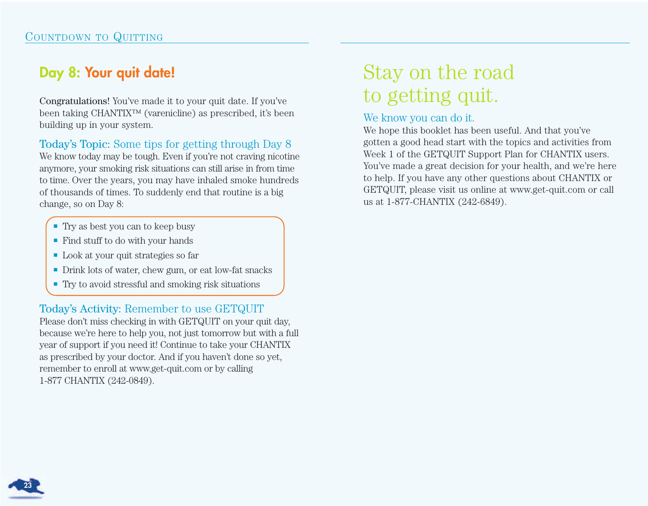## **Day 8: Your quit date!**

Congratulations! You've made it to your quit date. If you've been taking CHANTIX™ (varenicline) as prescribed, it's been building up in your system.

Today's Topic: Some tips for getting through Day 8

We know today may be tough. Even if you're not craving nicotine anymore, your smoking risk situations can still arise in from time to time. Over the years, you may have inhaled smoke hundreds of thousands of times. To suddenly end that routine is a big change, so on Day 8:

- e Try as best you can to keep busy
- e Find stuff to do with your hands
- Look at your quit strategies so far
- e Drink lots of water, chew gum, or eat low-fat snacks
- $\blacksquare$  Try to avoid stressful and smoking risk situations

## Today's Activity: Remember to use GETQUIT

Please don't miss checking in with GETQUIT on your quit day, because we're here to help you, not just tomorrow but with a full year of support if you need it! Continue to take your CHANTIX as prescribed by your doctor. And if you haven't done so yet, remember to enroll at www.get-quit.com or by calling 1-877 CHANTIX (242-0849).

# Stay on the road to getting quit.

## We know you can do it.

We hope this booklet has been useful. And that you've gotten a good head start with the topics and activities from Week 1 of the GETQUIT Support Plan for CHANTIX users. You've made a great decision for your health, and we're here to help. If you have any other questions about CHANTIX or GETQUIT, please visit us online at www.get-quit.com or call us at 1-877-CHANTIX (242-6849).